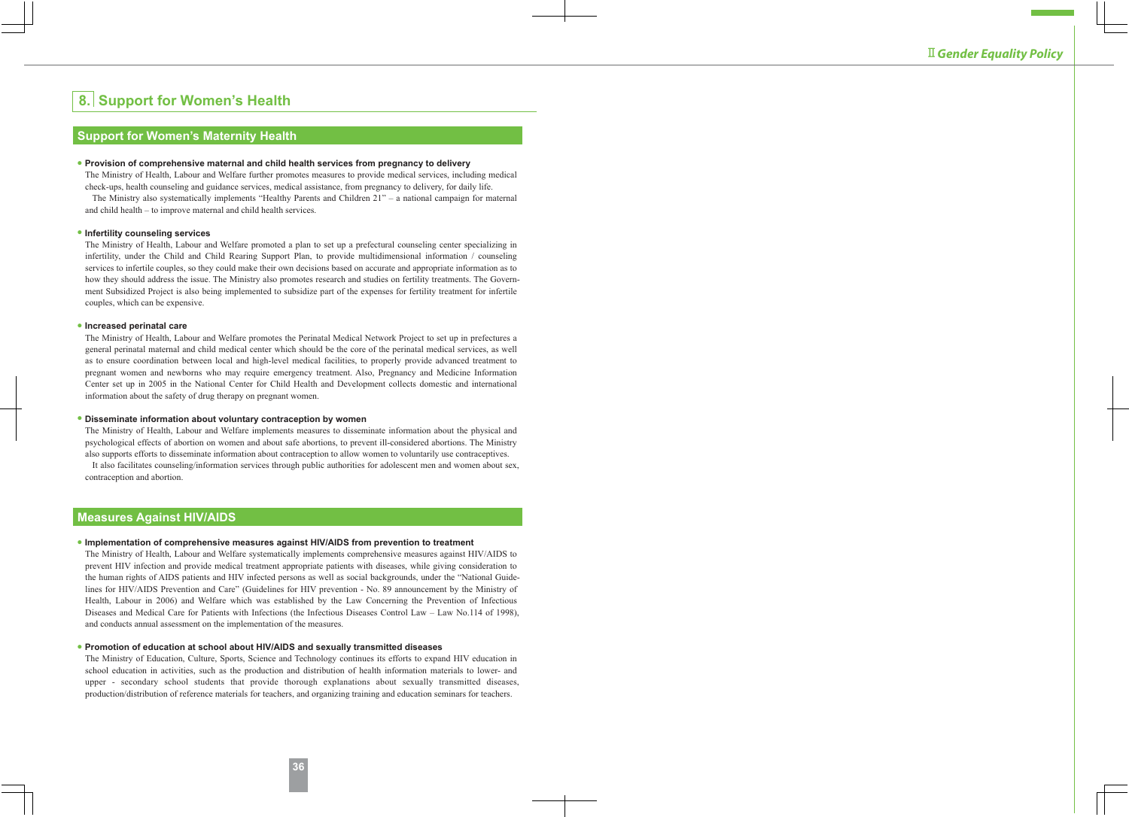# **8. Support for Women's Health**

### **Support for Women's Maternity Health**

#### **● Provision of comprehensive maternal and child health services from pregnancy to delivery**

The Ministry of Health, Labour and Welfare further promotes measures to provide medical services, including medical check-ups, health counseling and guidance services, medical assistance, from pregnancy to delivery, for daily life.

The Ministry also systematically implements "Healthy Parents and Children 21" – a national campaign for maternal and child health – to improve maternal and child health services.

#### **● Infertility counseling services**

The Ministry of Health, Labour and Welfare promoted a plan to set up a prefectural counseling center specializing in infertility, under the Child and Child Rearing Support Plan, to provide multidimensional information / counseling services to infertile couples, so they could make their own decisions based on accurate and appropriate information as to how they should address the issue. The Ministry also promotes research and studies on fertility treatments. The Government Subsidized Project is also being implemented to subsidize part of the expenses for fertility treatment for infertile couples, which can be expensive.

#### **● Increased perinatal care**

The Ministry of Health, Labour and Welfare promotes the Perinatal Medical Network Project to set up in prefectures a general perinatal maternal and child medical center which should be the core of the perinatal medical services, as well as to ensure coordination between local and high-level medical facilities, to properly provide advanced treatment to pregnant women and newborns who may require emergency treatment. Also, Pregnancy and Medicine Information Center set up in 2005 in the National Center for Child Health and Development collects domestic and international information about the safety of drug therapy on pregnant women.

#### **● Disseminate information about voluntary contraception by women**

The Ministry of Health, Labour and Welfare implements measures to disseminate information about the physical and psychological effects of abortion on women and about safe abortions, to prevent ill-considered abortions. The Ministry also supports efforts to disseminate information about contraception to allow women to voluntarily use contraceptives.

It also facilitates counseling/information services through public authorities for adolescent men and women about sex, contraception and abortion.

## **Measures Against HIV/AIDS**

#### **● Implementation of comprehensive measures against HIV/AIDS from prevention to treatment**

The Ministry of Health, Labour and Welfare systematically implements comprehensive measures against HIV/AIDS to prevent HIV infection and provide medical treatment appropriate patients with diseases, while giving consideration to the human rights of AIDS patients and HIV infected persons as well as social backgrounds, under the "National Guidelines for HIV/AIDS Prevention and Care" (Guidelines for HIV prevention - No. 89 announcement by the Ministry of Health, Labour in 2006) and Welfare which was established by the Law Concerning the Prevention of Infectious Diseases and Medical Care for Patients with Infections (the Infectious Diseases Control Law – Law No.114 of 1998), and conducts annual assessment on the implementation of the measures.

#### **● Promotion of education at school about HIV/AIDS and sexually transmitted diseases**

The Ministry of Education, Culture, Sports, Science and Technology continues its efforts to expand HIV education in school education in activities, such as the production and distribution of health information materials to lower- and upper - secondary school students that provide thorough explanations about sexually transmitted diseases, production/distribution of reference materials for teachers, and organizing training and education seminars for teachers.